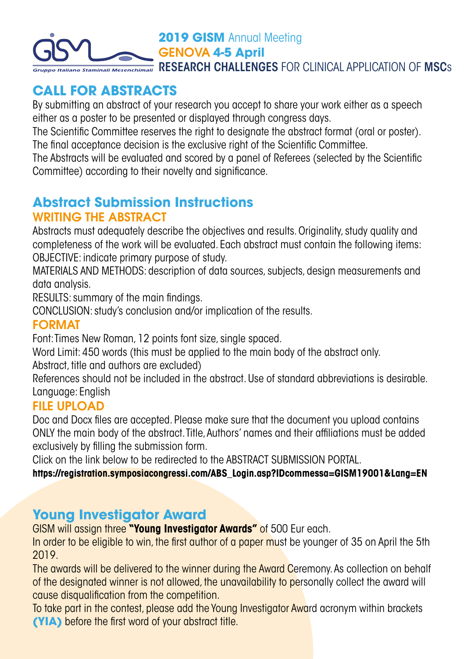

# **CALL FOR ABSTRACTS**

By submitting an abstract of your research you accept to share your work either as a speech either as a poster to be presented or displayed through congress days.

The Scientific Committee reserves the right to designate the abstract format (oral or poster). The final acceptance decision is the exclusive right of the Scientific Committee.

The Abstracts will be evaluated and scored by a panel of Referees (selected by the Scientific Committee) according to their novelty and significance.

### **Abstract Submission Instructions** WRITING THE ABSTRACT

Abstracts must adequately describe the objectives and results. Originality, study quality and completeness of the work will be evaluated. Each abstract must contain the following items: OBJECTIVE: indicate primary purpose of study.

MATERIALS AND METHODS: description of data sources, subjects, design measurements and data analysis.

RESULTS: summary of the main findings.

CONCLUSION: study's conclusion and/or implication of the results.

#### FORMAT

Font: Times New Roman, 12 points font size, single spaced.

Word Limit: 450 words (this must be applied to the main body of the abstract only.

Abstract, title and authors are excluded)

References should not be included in the abstract. Use of standard abbreviations is desirable. Language: English

#### FILE UPLOAD

Doc and Docx files are accepted. Please make sure that the document you upload contains ONLY the main body of the abstract. Title, Authors' names and their affiliations must be added exclusively by filling the submission form.

Click on the link below to be redirected to the ABSTRACT SUBMISSION PORTAL.

**[https://registration.symposiacongressi.com/ABS\\_Login.asp?IDcommessa=GISM19001&Lang=EN](https://registration.symposiacongressi.com/ABS_Login.asp?IDcommessa=GISM19001&Lang=EN)**

## **Young Investigator Award**

GISM will assign three **"Young Investigator Awards"** of 500 Eur each.

In order to be eligible to win, the first author of a paper must be younger of 35 on April the 5th 2019.

The awards will be delivered to the winner during the Award Ceremony. As collection on behalf of the designated winner is not allowed, the unavailability to personally collect the award will cause disqualification from the competition.

To take part in the contest, please add the Young Investigator Award acronym within brackets **(YIA)** before the first word of your abstract title.